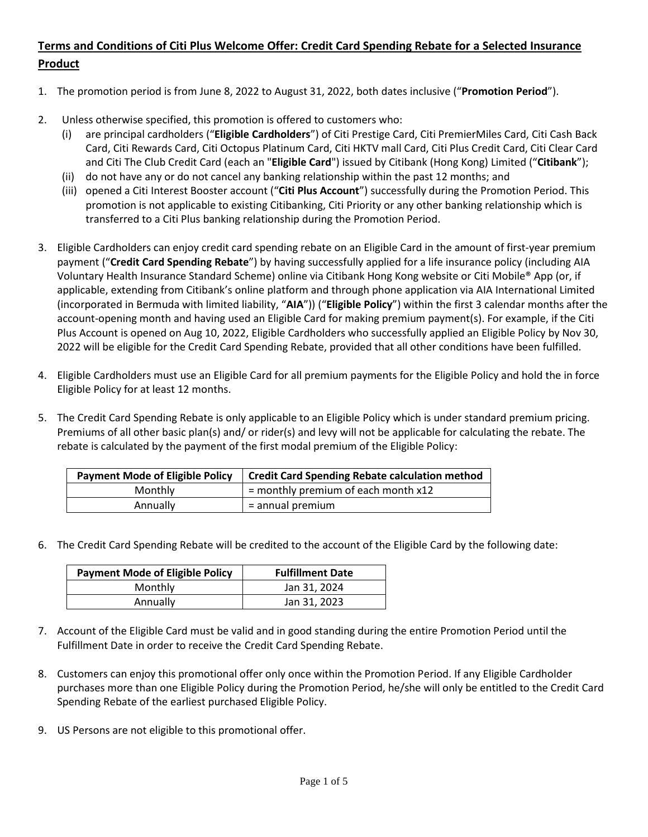## **Terms and Conditions of Citi Plus Welcome Offer: Credit Card Spending Rebate for a Selected Insurance Product**

- 1. The promotion period is from June 8, 2022 to August 31, 2022, both dates inclusive ("**Promotion Period**").
- 2. Unless otherwise specified, this promotion is offered to customers who:
	- (i) are principal cardholders ("**Eligible Cardholders**") of Citi Prestige Card, Citi PremierMiles Card, Citi Cash Back Card, Citi Rewards Card, Citi Octopus Platinum Card, Citi HKTV mall Card, Citi Plus Credit Card, Citi Clear Card and Citi The Club Credit Card (each an "**Eligible Card**") issued by Citibank (Hong Kong) Limited ("**Citibank**");
	- (ii) do not have any or do not cancel any banking relationship within the past 12 months; and
	- (iii) opened a Citi Interest Booster account ("**Citi Plus Account**") successfully during the Promotion Period. This promotion is not applicable to existing Citibanking, Citi Priority or any other banking relationship which is transferred to a Citi Plus banking relationship during the Promotion Period.
- 3. Eligible Cardholders can enjoy credit card spending rebate on an Eligible Card in the amount of first-year premium payment ("**Credit Card Spending Rebate**") by having successfully applied for a life insurance policy (including AIA Voluntary Health Insurance Standard Scheme) online via Citibank Hong Kong website or Citi Mobile® App (or, if applicable, extending from Citibank's online platform and through phone application via AIA International Limited (incorporated in Bermuda with limited liability, "**AIA**")) ("**Eligible Policy**") within the first 3 calendar months after the account-opening month and having used an Eligible Card for making premium payment(s). For example, if the Citi Plus Account is opened on Aug 10, 2022, Eligible Cardholders who successfully applied an Eligible Policy by Nov 30, 2022 will be eligible for the Credit Card Spending Rebate, provided that all other conditions have been fulfilled.
- 4. Eligible Cardholders must use an Eligible Card for all premium payments for the Eligible Policy and hold the in force Eligible Policy for at least 12 months.
- 5. The Credit Card Spending Rebate is only applicable to an Eligible Policy which is under standard premium pricing. Premiums of all other basic plan(s) and/ or rider(s) and levy will not be applicable for calculating the rebate. The rebate is calculated by the payment of the first modal premium of the Eligible Policy:

| <b>Payment Mode of Eligible Policy</b> | <b>Credit Card Spending Rebate calculation method</b> |
|----------------------------------------|-------------------------------------------------------|
| Monthly                                | $=$ monthly premium of each month $x12$               |
| Annually                               | $=$ annual premium                                    |

6. The Credit Card Spending Rebate will be credited to the account of the Eligible Card by the following date:

| <b>Payment Mode of Eligible Policy</b> | <b>Fulfillment Date</b> |
|----------------------------------------|-------------------------|
| Monthly                                | Jan 31, 2024            |
| Annually                               | Jan 31, 2023            |

- 7. Account of the Eligible Card must be valid and in good standing during the entire Promotion Period until the Fulfillment Date in order to receive the Credit Card Spending Rebate.
- 8. Customers can enjoy this promotional offer only once within the Promotion Period. If any Eligible Cardholder purchases more than one Eligible Policy during the Promotion Period, he/she will only be entitled to the Credit Card Spending Rebate of the earliest purchased Eligible Policy.
- 9. US Persons are not eligible to this promotional offer.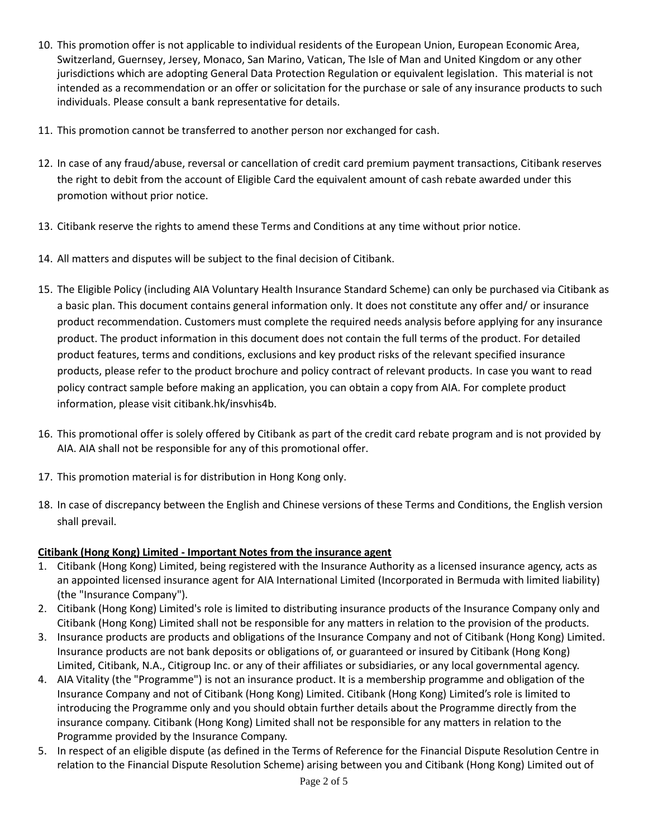- 10. This promotion offer is not applicable to individual residents of the European Union, European Economic Area, Switzerland, Guernsey, Jersey, Monaco, San Marino, Vatican, The Isle of Man and United Kingdom or any other jurisdictions which are adopting General Data Protection Regulation or equivalent legislation. This material is not intended as a recommendation or an offer or solicitation for the purchase or sale of any insurance products to such individuals. Please consult a bank representative for details.
- 11. This promotion cannot be transferred to another person nor exchanged for cash.
- 12. In case of any fraud/abuse, reversal or cancellation of credit card premium payment transactions, Citibank reserves the right to debit from the account of Eligible Card the equivalent amount of cash rebate awarded under this promotion without prior notice.
- 13. Citibank reserve the rights to amend these Terms and Conditions at any time without prior notice.
- 14. All matters and disputes will be subject to the final decision of Citibank.
- 15. The Eligible Policy (including AIA Voluntary Health Insurance Standard Scheme) can only be purchased via Citibank as a basic plan. This document contains general information only. It does not constitute any offer and/ or insurance product recommendation. Customers must complete the required needs analysis before applying for any insurance product. The product information in this document does not contain the full terms of the product. For detailed product features, terms and conditions, exclusions and key product risks of the relevant specified insurance products, please refer to the product brochure and policy contract of relevant products. In case you want to read policy contract sample before making an application, you can obtain a copy from AIA. For complete product information, please visit citibank.hk/insvhis4b.
- 16. This promotional offer is solely offered by Citibank as part of the credit card rebate program and is not provided by AIA. AIA shall not be responsible for any of this promotional offer.
- 17. This promotion material is for distribution in Hong Kong only.
- 18. In case of discrepancy between the English and Chinese versions of these Terms and Conditions, the English version shall prevail.

## **Citibank (Hong Kong) Limited - Important Notes from the insurance agent**

- 1. Citibank (Hong Kong) Limited, being registered with the Insurance Authority as a licensed insurance agency, acts as an appointed licensed insurance agent for AIA International Limited (Incorporated in Bermuda with limited liability) (the "Insurance Company").
- 2. Citibank (Hong Kong) Limited's role is limited to distributing insurance products of the Insurance Company only and Citibank (Hong Kong) Limited shall not be responsible for any matters in relation to the provision of the products.
- 3. Insurance products are products and obligations of the Insurance Company and not of Citibank (Hong Kong) Limited. Insurance products are not bank deposits or obligations of, or guaranteed or insured by Citibank (Hong Kong) Limited, Citibank, N.A., Citigroup Inc. or any of their affiliates or subsidiaries, or any local governmental agency.
- 4. AIA Vitality (the "Programme") is not an insurance product. It is a membership programme and obligation of the Insurance Company and not of Citibank (Hong Kong) Limited. Citibank (Hong Kong) Limited's role is limited to introducing the Programme only and you should obtain further details about the Programme directly from the insurance company. Citibank (Hong Kong) Limited shall not be responsible for any matters in relation to the Programme provided by the Insurance Company.
- 5. In respect of an eligible dispute (as defined in the Terms of Reference for the Financial Dispute Resolution Centre in relation to the Financial Dispute Resolution Scheme) arising between you and Citibank (Hong Kong) Limited out of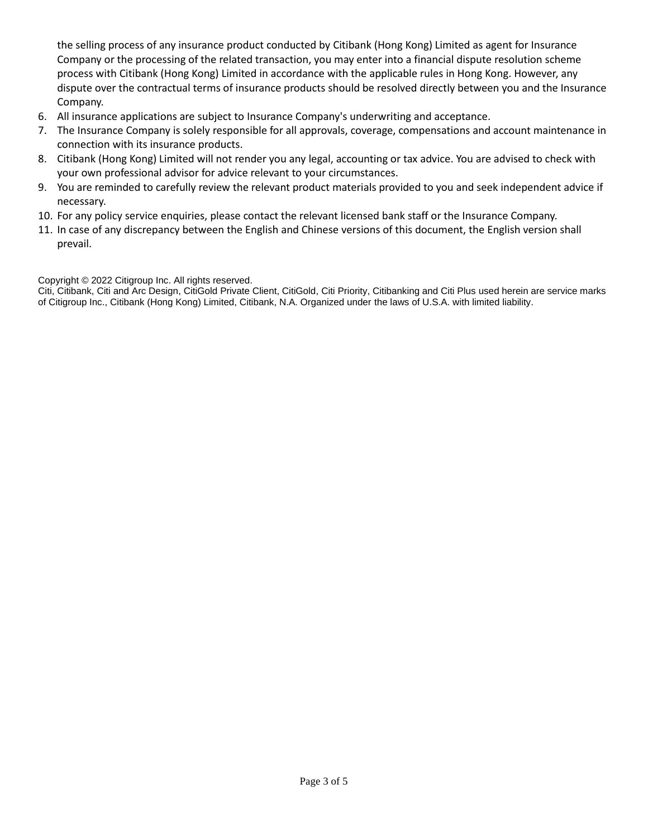the selling process of any insurance product conducted by Citibank (Hong Kong) Limited as agent for Insurance Company or the processing of the related transaction, you may enter into a financial dispute resolution scheme process with Citibank (Hong Kong) Limited in accordance with the applicable rules in Hong Kong. However, any dispute over the contractual terms of insurance products should be resolved directly between you and the Insurance Company.

- 6. All insurance applications are subject to Insurance Company's underwriting and acceptance.
- 7. The Insurance Company is solely responsible for all approvals, coverage, compensations and account maintenance in connection with its insurance products.
- 8. Citibank (Hong Kong) Limited will not render you any legal, accounting or tax advice. You are advised to check with your own professional advisor for advice relevant to your circumstances.
- 9. You are reminded to carefully review the relevant product materials provided to you and seek independent advice if necessary.
- 10. For any policy service enquiries, please contact the relevant licensed bank staff or the Insurance Company.
- 11. In case of any discrepancy between the English and Chinese versions of this document, the English version shall prevail.

Copyright © 2022 Citigroup Inc. All rights reserved.

Citi, Citibank, Citi and Arc Design, CitiGold Private Client, CitiGold, Citi Priority, Citibanking and Citi Plus used herein are service marks of Citigroup Inc., Citibank (Hong Kong) Limited, Citibank, N.A. Organized under the laws of U.S.A. with limited liability.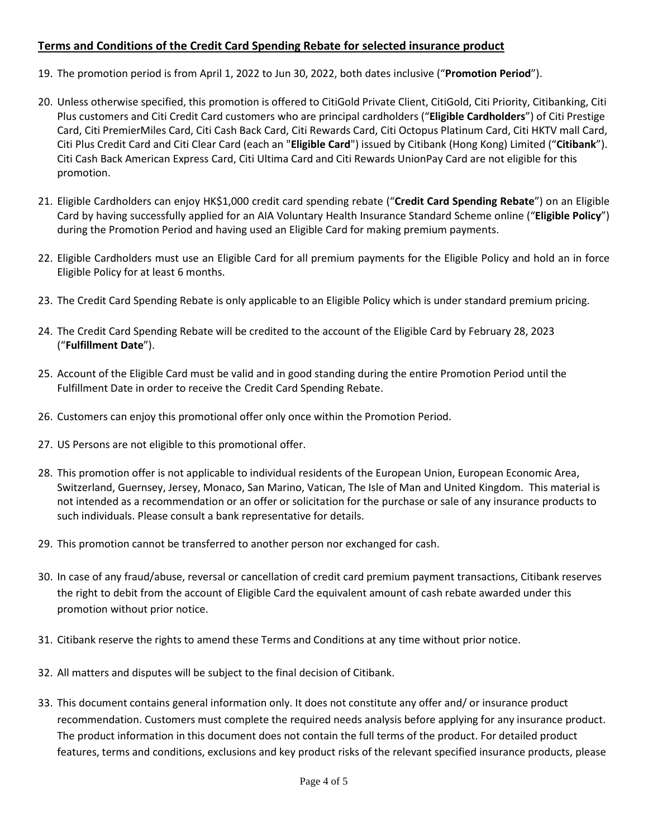## **Terms and Conditions of the Credit Card Spending Rebate for selected insurance product**

- 19. The promotion period is from April 1, 2022 to Jun 30, 2022, both dates inclusive ("**Promotion Period**").
- 20. Unless otherwise specified, this promotion is offered to CitiGold Private Client, CitiGold, Citi Priority, Citibanking, Citi Plus customers and Citi Credit Card customers who are principal cardholders ("**Eligible Cardholders**") of Citi Prestige Card, Citi PremierMiles Card, Citi Cash Back Card, Citi Rewards Card, Citi Octopus Platinum Card, Citi HKTV mall Card, Citi Plus Credit Card and Citi Clear Card (each an "**Eligible Card**") issued by Citibank (Hong Kong) Limited ("**Citibank**"). Citi Cash Back American Express Card, Citi Ultima Card and Citi Rewards UnionPay Card are not eligible for this promotion.
- 21. Eligible Cardholders can enjoy HK\$1,000 credit card spending rebate ("**Credit Card Spending Rebate**") on an Eligible Card by having successfully applied for an AIA Voluntary Health Insurance Standard Scheme online ("**Eligible Policy**") during the Promotion Period and having used an Eligible Card for making premium payments.
- 22. Eligible Cardholders must use an Eligible Card for all premium payments for the Eligible Policy and hold an in force Eligible Policy for at least 6 months.
- 23. The Credit Card Spending Rebate is only applicable to an Eligible Policy which is under standard premium pricing.
- 24. The Credit Card Spending Rebate will be credited to the account of the Eligible Card by February 28, 2023 ("**Fulfillment Date**").
- 25. Account of the Eligible Card must be valid and in good standing during the entire Promotion Period until the Fulfillment Date in order to receive the Credit Card Spending Rebate.
- 26. Customers can enjoy this promotional offer only once within the Promotion Period.
- 27. US Persons are not eligible to this promotional offer.
- 28. This promotion offer is not applicable to individual residents of the European Union, European Economic Area, Switzerland, Guernsey, Jersey, Monaco, San Marino, Vatican, The Isle of Man and United Kingdom. This material is not intended as a recommendation or an offer or solicitation for the purchase or sale of any insurance products to such individuals. Please consult a bank representative for details.
- 29. This promotion cannot be transferred to another person nor exchanged for cash.
- 30. In case of any fraud/abuse, reversal or cancellation of credit card premium payment transactions, Citibank reserves the right to debit from the account of Eligible Card the equivalent amount of cash rebate awarded under this promotion without prior notice.
- 31. Citibank reserve the rights to amend these Terms and Conditions at any time without prior notice.
- 32. All matters and disputes will be subject to the final decision of Citibank.
- 33. This document contains general information only. It does not constitute any offer and/ or insurance product recommendation. Customers must complete the required needs analysis before applying for any insurance product. The product information in this document does not contain the full terms of the product. For detailed product features, terms and conditions, exclusions and key product risks of the relevant specified insurance products, please